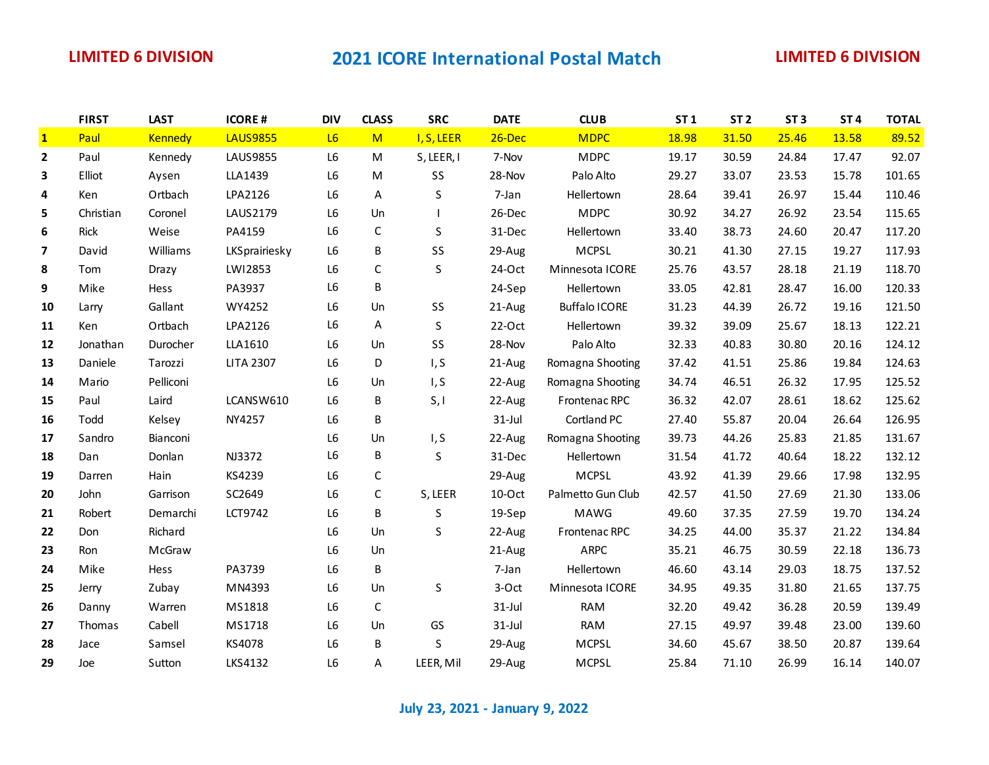## **LIMITED 6 DIVISION 2021 ICORE International Postal Match LIMITED 6 DIVISION**

|              | <b>FIRST</b> | <b>LAST</b>    | <b>ICORE#</b>    | <b>DIV</b>     | <b>CLASS</b> | <b>SRC</b> | <b>DATE</b> | <b>CLUB</b>          | ST <sub>1</sub> | ST <sub>2</sub> | ST <sub>3</sub> | ST <sub>4</sub> | <b>TOTAL</b> |
|--------------|--------------|----------------|------------------|----------------|--------------|------------|-------------|----------------------|-----------------|-----------------|-----------------|-----------------|--------------|
| $\mathbf{1}$ | Paul         | <b>Kennedy</b> | <b>LAUS9855</b>  | L6             | M            | I, S, LEER | $26$ -Dec   | <b>MDPC</b>          | 18.98           | 31.50           | 25.46           | 13.58           | 89.52        |
| $\mathbf{2}$ | Paul         | Kennedy        | LAUS9855         | L6             | M            | S, LEER, I | 7-Nov       | <b>MDPC</b>          | 19.17           | 30.59           | 24.84           | 17.47           | 92.07        |
| 3            | Elliot       | Aysen          | LLA1439          | L6             | M            | SS         | 28-Nov      | Palo Alto            | 29.27           | 33.07           | 23.53           | 15.78           | 101.65       |
| 4            | Ken          | Ortbach        | LPA2126          | L6             | A            | S          | 7-Jan       | Hellertown           | 28.64           | 39.41           | 26.97           | 15.44           | 110.46       |
| 5            | Christian    | Coronel        | LAUS2179         | L6             | Un           |            | 26-Dec      | <b>MDPC</b>          | 30.92           | 34.27           | 26.92           | 23.54           | 115.65       |
| 6            | Rick         | Weise          | PA4159           | L6             | $\mathsf C$  | S          | 31-Dec      | Hellertown           | 33.40           | 38.73           | 24.60           | 20.47           | 117.20       |
| 7            | David        | Williams       | LKSprairiesky    | L <sub>6</sub> | В            | SS         | 29-Aug      | <b>MCPSL</b>         | 30.21           | 41.30           | 27.15           | 19.27           | 117.93       |
| 8            | Tom          | Drazy          | LWI2853          | L <sub>6</sub> | $\mathsf C$  | S          | 24-Oct      | Minnesota ICORE      | 25.76           | 43.57           | 28.18           | 21.19           | 118.70       |
| 9            | Mike         | Hess           | PA3937           | L6             | В            |            | 24-Sep      | Hellertown           | 33.05           | 42.81           | 28.47           | 16.00           | 120.33       |
| 10           | Larry        | Gallant        | WY4252           | L <sub>6</sub> | Un           | SS         | 21-Aug      | <b>Buffalo ICORE</b> | 31.23           | 44.39           | 26.72           | 19.16           | 121.50       |
| 11           | Ken          | Ortbach        | LPA2126          | L6             | Α            | S          | 22-Oct      | Hellertown           | 39.32           | 39.09           | 25.67           | 18.13           | 122.21       |
| 12           | Jonathan     | Durocher       | LLA1610          | L6             | Un           | SS         | 28-Nov      | Palo Alto            | 32.33           | 40.83           | 30.80           | 20.16           | 124.12       |
| 13           | Daniele      | Tarozzi        | <b>LITA 2307</b> | L <sub>6</sub> | D            | I, S       | 21-Aug      | Romagna Shooting     | 37.42           | 41.51           | 25.86           | 19.84           | 124.63       |
| 14           | Mario        | Pelliconi      |                  | L <sub>6</sub> | Un           | I, S       | 22-Aug      | Romagna Shooting     | 34.74           | 46.51           | 26.32           | 17.95           | 125.52       |
| 15           | Paul         | Laird          | LCANSW610        | L6             | В            | S, I       | 22-Aug      | Frontenac RPC        | 36.32           | 42.07           | 28.61           | 18.62           | 125.62       |
| 16           | Todd         | Kelsey         | NY4257           | L <sub>6</sub> | В            |            | $31$ -Jul   | Cortland PC          | 27.40           | 55.87           | 20.04           | 26.64           | 126.95       |
| 17           | Sandro       | Bianconi       |                  | L6             | Un           | I, S       | 22-Aug      | Romagna Shooting     | 39.73           | 44.26           | 25.83           | 21.85           | 131.67       |
| 18           | Dan          | Donlan         | NJ3372           | L6             | В            | S          | 31-Dec      | Hellertown           | 31.54           | 41.72           | 40.64           | 18.22           | 132.12       |
| 19           | Darren       | Hain           | KS4239           | L6             | $\mathsf C$  |            | 29-Aug      | <b>MCPSL</b>         | 43.92           | 41.39           | 29.66           | 17.98           | 132.95       |
| 20           | John         | Garrison       | SC2649           | L6             | $\mathsf C$  | S, LEER    | $10-Oct$    | Palmetto Gun Club    | 42.57           | 41.50           | 27.69           | 21.30           | 133.06       |
| 21           | Robert       | Demarchi       | LCT9742          | L6             | В            | $\sf S$    | 19-Sep      | MAWG                 | 49.60           | 37.35           | 27.59           | 19.70           | 134.24       |
| 22           | Don          | Richard        |                  | L <sub>6</sub> | Un           | $\sf S$    | 22-Aug      | Frontenac RPC        | 34.25           | 44.00           | 35.37           | 21.22           | 134.84       |
| 23           | Ron          | McGraw         |                  | L6             | Un           |            | 21-Aug      | <b>ARPC</b>          | 35.21           | 46.75           | 30.59           | 22.18           | 136.73       |
| 24           | Mike         | Hess           | PA3739           | L6             | B            |            | 7-Jan       | Hellertown           | 46.60           | 43.14           | 29.03           | 18.75           | 137.52       |
| 25           | Jerry        | Zubay          | MN4393           | L6             | Un           | S          | 3-Oct       | Minnesota ICORE      | 34.95           | 49.35           | 31.80           | 21.65           | 137.75       |
| 26           | Danny        | Warren         | MS1818           | L <sub>6</sub> | $\mathsf C$  |            | $31$ -Jul   | <b>RAM</b>           | 32.20           | 49.42           | 36.28           | 20.59           | 139.49       |
| 27           | Thomas       | Cabell         | MS1718           | L6             | Un           | GS         | $31$ -Jul   | <b>RAM</b>           | 27.15           | 49.97           | 39.48           | 23.00           | 139.60       |
| 28           | Jace         | Samsel         | KS4078           | L <sub>6</sub> | B            | S          | 29-Aug      | <b>MCPSL</b>         | 34.60           | 45.67           | 38.50           | 20.87           | 139.64       |
| 29           | Joe          | Sutton         | LKS4132          | L <sub>6</sub> | A            | LEER, Mil  | 29-Aug      | <b>MCPSL</b>         | 25.84           | 71.10           | 26.99           | 16.14           | 140.07       |

**July 23, 2021 - January 9, 2022**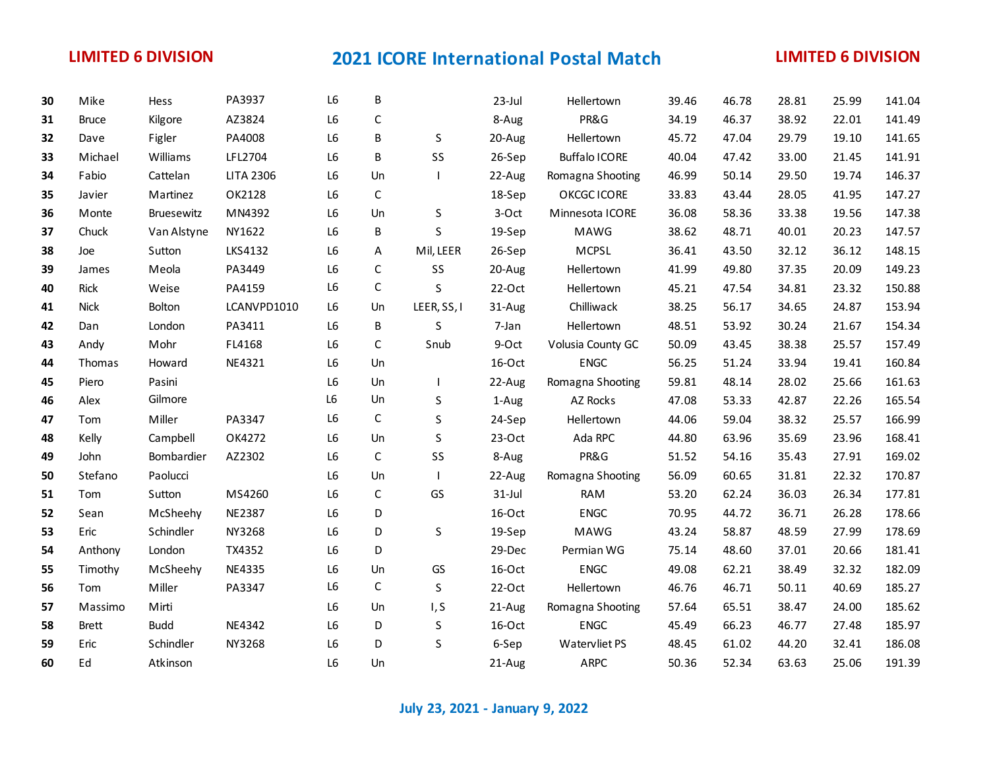# **LIMITED 6 DIVISION 2021 ICORE International Postal Match LIMITED 6 DIVISION**

| 30 | Mike          | Hess        | PA3937           | L6             | B           |              | 23-Jul   | Hellertown           | 39.46 | 46.78 | 28.81 | 25.99 | 141.04 |
|----|---------------|-------------|------------------|----------------|-------------|--------------|----------|----------------------|-------|-------|-------|-------|--------|
| 31 | <b>Bruce</b>  | Kilgore     | AZ3824           | L <sub>6</sub> | $\mathsf C$ |              | 8-Aug    | PR&G                 | 34.19 | 46.37 | 38.92 | 22.01 | 141.49 |
| 32 | Dave          | Figler      | PA4008           | L6             | В           | S            | 20-Aug   | Hellertown           | 45.72 | 47.04 | 29.79 | 19.10 | 141.65 |
| 33 | Michael       | Williams    | LFL2704          | L6             | B           | SS           | 26-Sep   | <b>Buffalo ICORE</b> | 40.04 | 47.42 | 33.00 | 21.45 | 141.91 |
| 34 | Fabio         | Cattelan    | <b>LITA 2306</b> | L6             | Un          |              | 22-Aug   | Romagna Shooting     | 46.99 | 50.14 | 29.50 | 19.74 | 146.37 |
| 35 | Javier        | Martinez    | OK2128           | L <sub>6</sub> | $\mathsf C$ |              | 18-Sep   | OKCGC ICORE          | 33.83 | 43.44 | 28.05 | 41.95 | 147.27 |
| 36 | Monte         | Bruesewitz  | MN4392           | L6             | Un          | S            | 3-Oct    | Minnesota ICORE      | 36.08 | 58.36 | 33.38 | 19.56 | 147.38 |
| 37 | Chuck         | Van Alstyne | NY1622           | L6             | В           | S            | 19-Sep   | <b>MAWG</b>          | 38.62 | 48.71 | 40.01 | 20.23 | 147.57 |
| 38 | Joe           | Sutton      | <b>LKS4132</b>   | L6             | Α           | Mil, LEER    | 26-Sep   | <b>MCPSL</b>         | 36.41 | 43.50 | 32.12 | 36.12 | 148.15 |
| 39 | James         | Meola       | PA3449           | L <sub>6</sub> | $\mathsf C$ | SS           | 20-Aug   | Hellertown           | 41.99 | 49.80 | 37.35 | 20.09 | 149.23 |
| 40 | <b>Rick</b>   | Weise       | PA4159           | L6             | $\mathsf C$ | S            | 22-Oct   | Hellertown           | 45.21 | 47.54 | 34.81 | 23.32 | 150.88 |
| 41 | <b>Nick</b>   | Bolton      | LCANVPD1010      | L6             | Un          | LEER, SS, I  | 31-Aug   | Chilliwack           | 38.25 | 56.17 | 34.65 | 24.87 | 153.94 |
| 42 | Dan           | London      | PA3411           | L <sub>6</sub> | В           | S            | 7-Jan    | Hellertown           | 48.51 | 53.92 | 30.24 | 21.67 | 154.34 |
| 43 | Andy          | Mohr        | FL4168           | L6             | $\mathsf C$ | Snub         | 9-Oct    | Volusia County GC    | 50.09 | 43.45 | 38.38 | 25.57 | 157.49 |
| 44 | <b>Thomas</b> | Howard      | NE4321           | L6             | Un          |              | 16-Oct   | <b>ENGC</b>          | 56.25 | 51.24 | 33.94 | 19.41 | 160.84 |
| 45 | Piero         | Pasini      |                  | L6             | Un          | $\mathbf{I}$ | 22-Aug   | Romagna Shooting     | 59.81 | 48.14 | 28.02 | 25.66 | 161.63 |
| 46 | Alex          | Gilmore     |                  | L6             | Un          | S            | 1-Aug    | AZ Rocks             | 47.08 | 53.33 | 42.87 | 22.26 | 165.54 |
| 47 | Tom           | Miller      | PA3347           | L6             | С           | S            | 24-Sep   | Hellertown           | 44.06 | 59.04 | 38.32 | 25.57 | 166.99 |
| 48 | Kelly         | Campbell    | OK4272           | L6             | Un          | S            | $23-Oct$ | Ada RPC              | 44.80 | 63.96 | 35.69 | 23.96 | 168.41 |
| 49 | John          | Bombardier  | AZ2302           | L6             | $\mathsf C$ | SS           | 8-Aug    | PR&G                 | 51.52 | 54.16 | 35.43 | 27.91 | 169.02 |
| 50 | Stefano       | Paolucci    |                  | L <sub>6</sub> | Un          |              | 22-Aug   | Romagna Shooting     | 56.09 | 60.65 | 31.81 | 22.32 | 170.87 |
| 51 | Tom           | Sutton      | MS4260           | L6             | С           | GS           | 31-Jul   | <b>RAM</b>           | 53.20 | 62.24 | 36.03 | 26.34 | 177.81 |
| 52 | Sean          | McSheehy    | <b>NE2387</b>    | L <sub>6</sub> | D           |              | 16-Oct   | <b>ENGC</b>          | 70.95 | 44.72 | 36.71 | 26.28 | 178.66 |
| 53 | Eric          | Schindler   | NY3268           | L6             | D           | $\sf S$      | 19-Sep   | MAWG                 | 43.24 | 58.87 | 48.59 | 27.99 | 178.69 |
| 54 | Anthony       | London      | TX4352           | L6             | D           |              | 29-Dec   | Permian WG           | 75.14 | 48.60 | 37.01 | 20.66 | 181.41 |
| 55 | Timothy       | McSheehy    | <b>NE4335</b>    | L6             | Un          | GS           | 16-Oct   | <b>ENGC</b>          | 49.08 | 62.21 | 38.49 | 32.32 | 182.09 |
| 56 | Tom           | Miller      | PA3347           | L6             | $\mathsf C$ | S            | 22-Oct   | Hellertown           | 46.76 | 46.71 | 50.11 | 40.69 | 185.27 |
| 57 | Massimo       | Mirti       |                  | L6             | Un          | I, S         | 21-Aug   | Romagna Shooting     | 57.64 | 65.51 | 38.47 | 24.00 | 185.62 |
| 58 | <b>Brett</b>  | <b>Budd</b> | NE4342           | L6             | D           | $\sf S$      | 16-Oct   | <b>ENGC</b>          | 45.49 | 66.23 | 46.77 | 27.48 | 185.97 |
| 59 | Eric          | Schindler   | NY3268           | L6             | D           | S            | 6-Sep    | Watervliet PS        | 48.45 | 61.02 | 44.20 | 32.41 | 186.08 |
| 60 | Ed            | Atkinson    |                  | L <sub>6</sub> | Un          |              | 21-Aug   | <b>ARPC</b>          | 50.36 | 52.34 | 63.63 | 25.06 | 191.39 |

**July 23, 2021 - January 9, 2022**